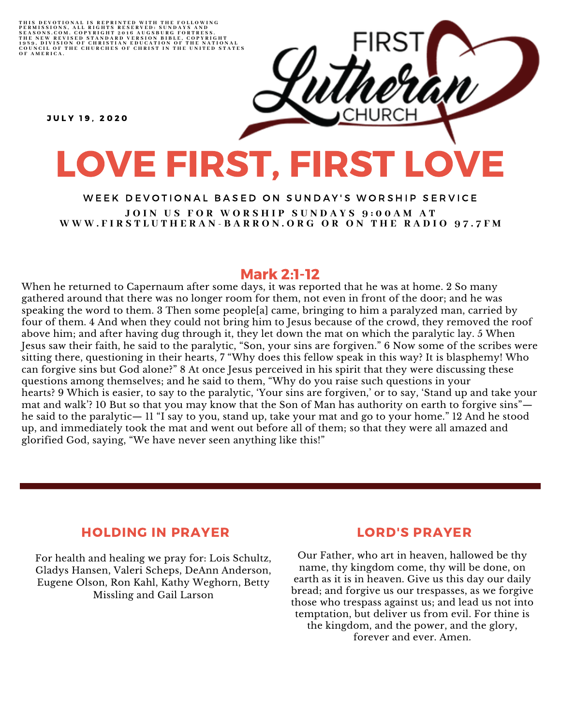THIS DEVOTIONAL IS REPRINTED WITH THE FOLLOWING<br>PERMISSIONS, ALL RIGHTS RESERVED: SUNDAYS AND<br>SEASONS.COM. COPYRIGHT 2016 AUGSBURG FORTRESS.<br>THE NEW REVISED STANDARD VERSION BIBLE, COPYRIGHT<br>1959, DIVISION OF CHRISTIAN EDU

**JULY 19. 2020** 

# LOVE FIRST, FIRST LOVE

### WEEK DEVOTIONAL BASED ON SUNDAY'S WORSHIP SERVICE JOIN US FOR WORSHIP SUNDAYS 9:00AM AT WWW.FIRSTLUTHERAN-BARRON.ORG OR ON THE RADIO 97.7FM

# Mark 2:1-12

When he returned to Capernaum after some days, it was reported that he was at home. 2 So many gathered around that there was no longer room for them, not even in front of the door; and he was speaking the word to them. 3 Then some people[a] came, bringing to him a paralyzed man, carried by four of them. 4 And when they could not bring him to Jesus because of the crowd, they removed the roof above him; and after having dug through it, they let down the mat on which the paralytic lay. 5 When Jesus saw their faith, he said to the paralytic, "Son, your sins are forgiven." 6 Now some of the scribes were sitting there, questioning in their hearts, 7 "Why does this fellow speak in this way? It is blasphemy! Who can forgive sins but God alone?" 8 At once Jesus perceived in his spirit that they were discussing these questions among themselves; and he said to them, "Why do you raise such questions in your hearts? 9 Which is easier, to say to the paralytic, 'Your sins are forgiven,' or to say, 'Stand up and take your mat and walk'? 10 But so that you may know that the Son of Man has authority on earth to forgive sins" he said to the paralytic— 11 "I say to you, stand up, take your mat and go to your home." 12 And he stood up, and immediately took the mat and went out before all of them; so that they were all amazed and glorified God, saying, "We have never seen anything like this!"

## HOLDING IN PRAYER

For health and healing we pray for: Lois Schultz, Gladys Hansen, Valeri Scheps, DeAnn Anderson, Eugene Olson, Ron Kahl, Kathy Weghorn, Betty Missling and Gail Larson

### LORD'S PRAYER

Our Father, who art in heaven, hallowed be thy name, thy kingdom come, thy will be done, on earth as it is in heaven. Give us this day our daily bread; and forgive us our trespasses, as we forgive those who trespass against us; and lead us not into temptation, but deliver us from evil. For thine is the kingdom, and the power, and the glory, forever and ever. Amen.